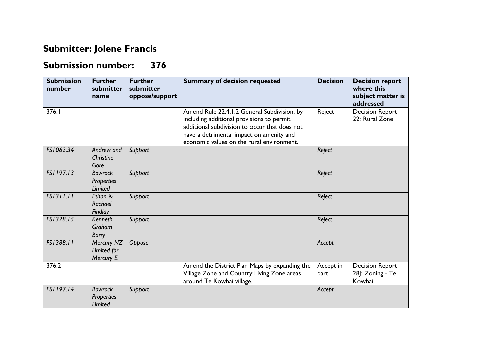## **Submitter: Jolene Francis**

## **Submission number: 376**

| <b>Submission</b><br>number | <b>Further</b><br>submitter<br>name                   | <b>Further</b><br>submitter<br>oppose/support | <b>Summary of decision requested</b>                                                                                                                                                                                               | <b>Decision</b>   | <b>Decision report</b><br>where this<br>subject matter is<br>addressed |
|-----------------------------|-------------------------------------------------------|-----------------------------------------------|------------------------------------------------------------------------------------------------------------------------------------------------------------------------------------------------------------------------------------|-------------------|------------------------------------------------------------------------|
| 376.I                       |                                                       |                                               | Amend Rule 22.4.1.2 General Subdivision, by<br>including additional provisions to permit<br>additional subdivision to occur that does not<br>have a detrimental impact on amenity and<br>economic values on the rural environment. | Reject            | <b>Decision Report</b><br>22: Rural Zone                               |
| FS1062.34                   | Andrew and<br>Christine<br>Gore                       | Support                                       |                                                                                                                                                                                                                                    | Reject            |                                                                        |
| FS1197.13                   | <b>Bowrock</b><br><b>Properties</b><br><b>Limited</b> | Support                                       |                                                                                                                                                                                                                                    | Reject            |                                                                        |
| FS1311.11                   | Ethan &<br>Rachael<br>Findlay                         | Support                                       |                                                                                                                                                                                                                                    | Reject            |                                                                        |
| FS1328.15                   | Kenneth<br>Graham<br>Barry                            | Support                                       |                                                                                                                                                                                                                                    | Reject            |                                                                        |
| FS1388.11                   | Mercury NZ<br>Limited for<br>Mercury E                | Oppose                                        |                                                                                                                                                                                                                                    | Accept            |                                                                        |
| 376.2                       |                                                       |                                               | Amend the District Plan Maps by expanding the<br>Village Zone and Country Living Zone areas<br>around Te Kowhai village.                                                                                                           | Accept in<br>part | <b>Decision Report</b><br>28]: Zoning - Te<br>Kowhai                   |
| FS1197.14                   | <b>Bowrock</b><br><b>Properties</b><br>Limited        | Support                                       |                                                                                                                                                                                                                                    | Accept            |                                                                        |